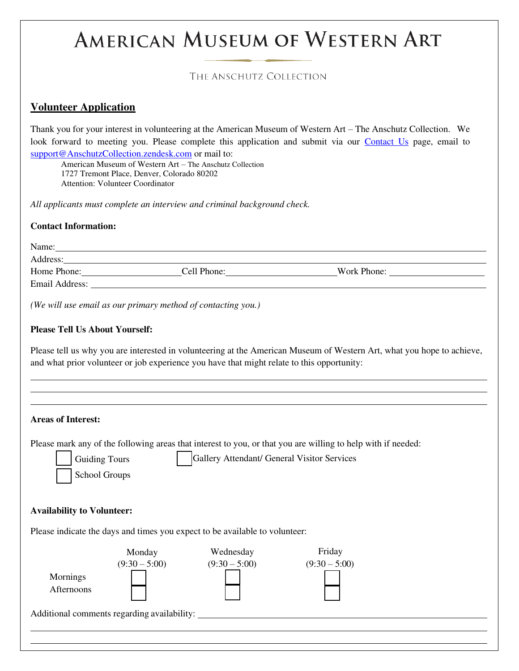# **AMERICAN MUSEUM OF WESTERN ART**

## THE ANSCHUTZ COLLECTION

## **Volunteer Application**

Thank you for your interest in volunteering at the American Museum of Western Art – The Anschutz Collection. We look forward to meeting you. Please complete this application and submit via our **Contact Us** page, email to [support@AnschutzCollection.zendesk.com o](mailto:support@AnschutzCollection.zendesk.com)r mail to:

American Museum of Western Art – The Anschutz Collection 1727 Tremont Place, Denver, Colorado 80202 Attention: Volunteer Coordinator

*All applicants must complete an interview and criminal background check.* 

#### **Contact Information:**

| Name:          |             |             |  |
|----------------|-------------|-------------|--|
| Address:       |             |             |  |
| Home Phone:    | Cell Phone: | Work Phone: |  |
| Email Address: |             |             |  |
|                |             |             |  |

*(We will use email as our primary method of contacting you.)* 

#### **Please Tell Us About Yourself:**

Please tell us why you are interested in volunteering at the American Museum of Western Art, what you hope to achieve, and what prior volunteer or job experience you have that might relate to this opportunity:

|                                   |                      |                                                                             | Please mark any of the following areas that interest to you, or that you are willing to help with if needed: |
|-----------------------------------|----------------------|-----------------------------------------------------------------------------|--------------------------------------------------------------------------------------------------------------|
|                                   | <b>Guiding Tours</b> | Gallery Attendant/ General Visitor Services                                 |                                                                                                              |
|                                   | School Groups        |                                                                             |                                                                                                              |
|                                   |                      |                                                                             |                                                                                                              |
|                                   |                      |                                                                             |                                                                                                              |
| <b>Availability to Volunteer:</b> |                      |                                                                             |                                                                                                              |
|                                   |                      | Please indicate the days and times you expect to be available to volunteer: |                                                                                                              |
|                                   | Monday               | Wednesday                                                                   | Friday                                                                                                       |
|                                   | $(9:30 - 5:00)$      | $(9:30 - 5:00)$                                                             | $(9:30 - 5:00)$                                                                                              |
|                                   |                      |                                                                             |                                                                                                              |
| Mornings                          |                      |                                                                             |                                                                                                              |